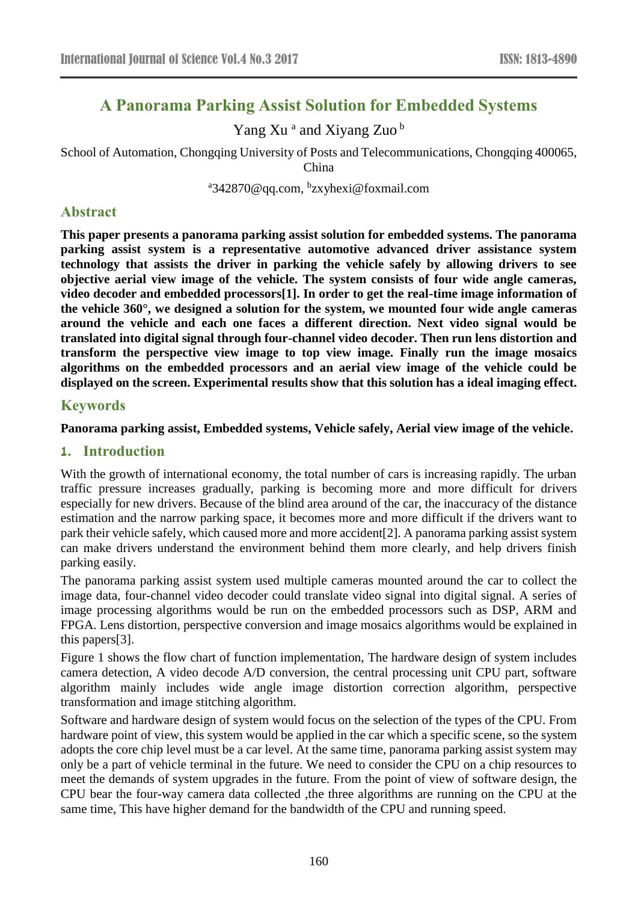# **A Panorama Parking Assist Solution for Embedded Systems**

Yang Xu<sup>a</sup> and Xiyang Zuo<sup>b</sup>

School of Automation, Chongqing University of Posts and Telecommunications, Chongqing 400065, China

<sup>a</sup>342870@qq.com, <sup>b</sup>zxyhexi@foxmail.com

### **Abstract**

**This paper presents a panorama parking assist solution for embedded systems. The panorama parking assist system is a representative automotive advanced driver assistance system technology that assists the driver in parking the vehicle safely by allowing drivers to see objective aerial view image of the vehicle. The system consists of four wide angle cameras, video decoder and embedded processors[1]. In order to get the real-time image information of the vehicle 360°, we designed a solution for the system, we mounted four wide angle cameras around the vehicle and each one faces a different direction. Next video signal would be translated into digital signal through four-channel video decoder. Then run lens distortion and transform the perspective view image to top view image. Finally run the image mosaics algorithms on the embedded processors and an aerial view image of the vehicle could be displayed on the screen. Experimental results show that this solution has a ideal imaging effect.**

### **Keywords**

**Panorama parking assist, Embedded systems, Vehicle safely, Aerial view image of the vehicle.**

#### **1. Introduction**

With the growth of international economy, the total number of cars is increasing rapidly. The urban traffic pressure increases gradually, parking is becoming more and more difficult for drivers especially for new drivers. Because of the blind area around of the car, the inaccuracy of the distance estimation and the narrow parking space, it becomes more and more difficult if the drivers want to park their vehicle safely, which caused more and more accident[2]. A panorama parking assist system can make drivers understand the environment behind them more clearly, and help drivers finish parking easily.

The panorama parking assist system used multiple cameras mounted around the car to collect the image data, four-channel video decoder could translate video signal into digital signal. A series of image processing algorithms would be run on the embedded processors such as DSP, ARM and FPGA. Lens distortion, perspective conversion and image mosaics algorithms would be explained in this papers[3].

Figure 1 shows the flow chart of function implementation, The hardware design of system includes camera detection, A video decode A/D conversion, the central processing unit CPU part, software algorithm mainly includes wide angle image distortion correction algorithm, perspective transformation and image stitching algorithm.

Software and hardware design of system would focus on the selection of the types of the CPU. From hardware point of view, this system would be applied in the car which a specific scene, so the system adopts the core chip level must be a car level. At the same time, panorama parking assist system may only be a part of vehicle terminal in the future. We need to consider the CPU on a chip resources to meet the demands of system upgrades in the future. From the point of view of software design, the CPU bear the four-way camera data collected ,the three algorithms are running on the CPU at the same time, This have higher demand for the bandwidth of the CPU and running speed.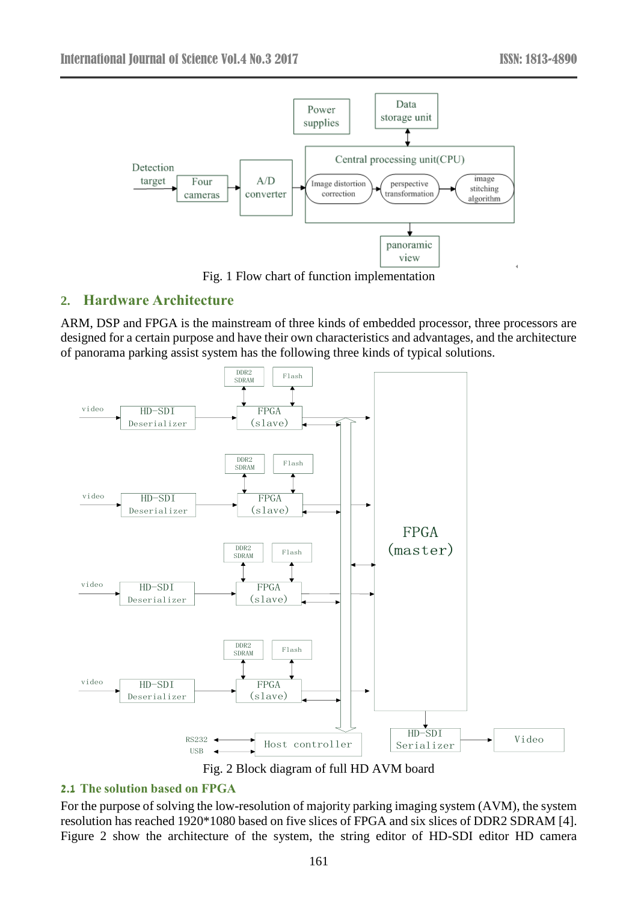

Fig. 1 Flow chart of function implementation

# **2. Hardware Architecture**

ARM, DSP and FPGA is the mainstream of three kinds of embedded processor, three processors are designed for a certain purpose and have their own characteristics and advantages, and the architecture of panorama parking assist system has the following three kinds of typical solutions.



Fig. 2 Block diagram of full HD AVM board

### **2.1 The solution based on FPGA**

For the purpose of solving the low-resolution of majority parking imaging system (AVM), the system resolution has reached 1920\*1080 based on five slices of FPGA and six slices of DDR2 SDRAM [4]. Figure 2 show the architecture of the system, the string editor of HD-SDI editor HD camera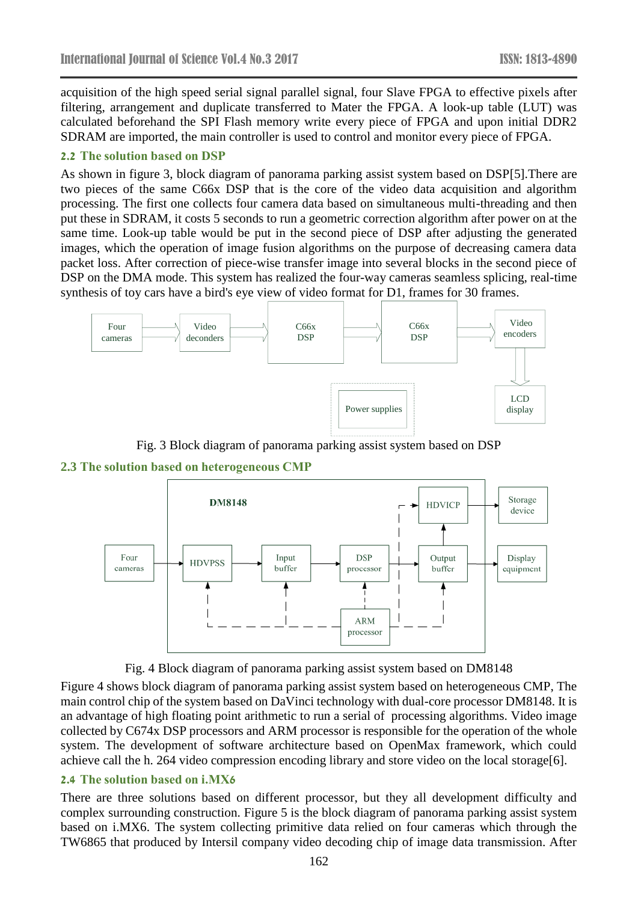acquisition of the high speed serial signal parallel signal, four Slave FPGA to effective pixels after filtering, arrangement and duplicate transferred to Mater the FPGA. A look-up table (LUT) was calculated beforehand the SPI Flash memory write every piece of FPGA and upon initial DDR2 SDRAM are imported, the main controller is used to control and monitor every piece of FPGA.

#### **2.2 The solution based on DSP**

As shown in figure 3, block diagram of panorama parking assist system based on DSP[5].There are two pieces of the same C66x DSP that is the core of the video data acquisition and algorithm processing. The first one collects four camera data based on simultaneous multi-threading and then put these in SDRAM, it costs 5 seconds to run a geometric correction algorithm after power on at the same time. Look-up table would be put in the second piece of DSP after adjusting the generated images, which the operation of image fusion algorithms on the purpose of decreasing camera data packet loss. After correction of piece-wise transfer image into several blocks in the second piece of DSP on the DMA mode. This system has realized the four-way cameras seamless splicing, real-time synthesis of toy cars have a bird's eye view of video format for D1, frames for 30 frames.



Fig. 3 Block diagram of panorama parking assist system based on DSP







Figure 4 shows block diagram of panorama parking assist system based on heterogeneous CMP, The main control chip of the system based on DaVinci technology with dual-core processor DM8148. It is an advantage of high floating point arithmetic to run a serial of processing algorithms. Video image collected by C674x DSP processors and ARM processor is responsible for the operation of the whole system. The development of software architecture based on OpenMax framework, which could achieve call the h. 264 video compression encoding library and store video on the local storage[6].

### **2.4 The solution based on i.MX6**

There are three solutions based on different processor, but they all development difficulty and complex surrounding construction. Figure 5 is the block diagram of panorama parking assist system based on i.MX6. The system collecting primitive data relied on four cameras which through the TW6865 that produced by Intersil company video decoding chip of image data transmission. After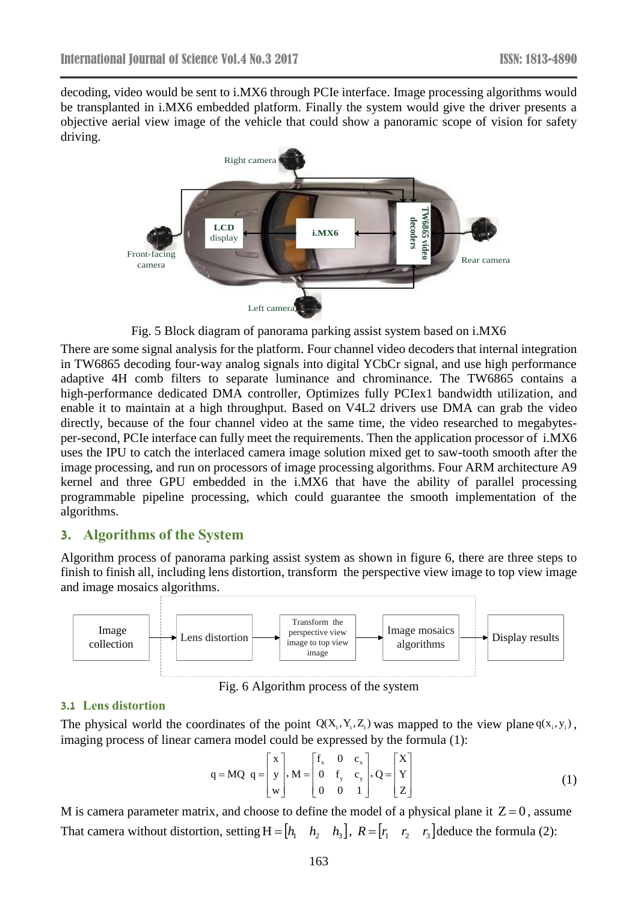decoding, video would be sent to i.MX6 through PCIe interface. Image processing algorithms would be transplanted in i.MX6 embedded platform. Finally the system would give the driver presents a objective aerial view image of the vehicle that could show a panoramic scope of vision for safety driving.



Fig. 5 Block diagram of panorama parking assist system based on i.MX6

There are some signal analysis for the platform. Four channel video decoders that internal integration in TW6865 decoding four-way analog signals into digital YCbCr signal, and use high performance adaptive 4H comb filters to separate luminance and chrominance. The TW6865 contains a high-performance dedicated DMA controller, Optimizes fully PCIex1 bandwidth utilization, and enable it to maintain at a high throughput. Based on V4L2 drivers use DMA can grab the video directly, because of the four channel video at the same time, the video researched to megabytesper-second, PCIe interface can fully meet the requirements. Then the application processor of i.MX6 uses the IPU to catch the interlaced camera image solution mixed get to saw-tooth smooth after the image processing, and run on processors of image processing algorithms. Four ARM architecture A9 kernel and three GPU embedded in the i.MX6 that have the ability of parallel processing programmable pipeline processing, which could guarantee the smooth implementation of the algorithms.

### **3. Algorithms of the System**

Algorithm process of panorama parking assist system as shown in figure 6, there are three steps to finish to finish all, including lens distortion, transform the perspective view image to top view image and image mosaics algorithms.



Fig. 6 Algorithm process of the system

#### **3.1 Lens distortion**

The physical world the coordinates of the point  $Q(X_i, Y_i, Z_i)$  was mapped to the view plane  $q(x_i, y_i)$ , imaging process of linear camera model could be expressed by the formula (1):<br> $\begin{bmatrix} x \end{bmatrix} \begin{bmatrix} f_x & 0 & c_x \end{bmatrix} \begin{bmatrix} X \end{bmatrix}$ 

$$
q = MQ \t q = \begin{bmatrix} x \\ y \\ w \end{bmatrix}, M = \begin{bmatrix} f_x & 0 & c_x \\ 0 & f_y & c_y \\ 0 & 0 & 1 \end{bmatrix}, Q = \begin{bmatrix} X \\ Y \\ Z \end{bmatrix}
$$
(1)

M is camera parameter matrix, and choose to define the model of a physical plane it  $Z=0$ , assume That camera without distortion, setting  $H = \begin{bmatrix} h_1 & h_2 & h_3 \end{bmatrix}$ ,  $R = \begin{bmatrix} r_1 & r_2 & r_3 \end{bmatrix}$ deduce the formula (2):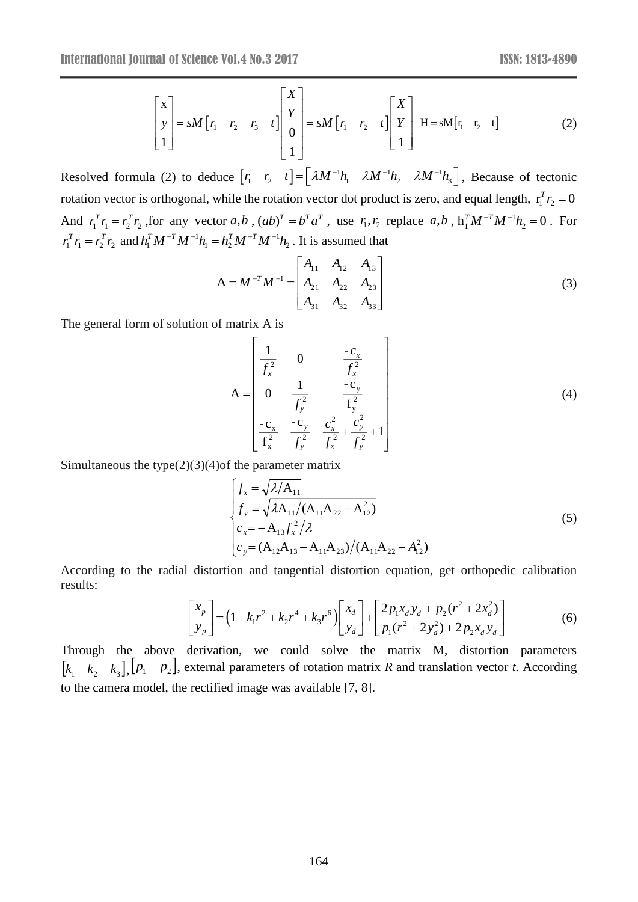$$
\begin{bmatrix} x \\ y \\ 1 \end{bmatrix} = sM \begin{bmatrix} r_1 & r_2 & r_3 & t \end{bmatrix} \begin{bmatrix} X \\ Y \\ 0 \\ 1 \end{bmatrix} = sM \begin{bmatrix} r_1 & r_2 & t \end{bmatrix} \begin{bmatrix} X \\ Y \\ 1 \end{bmatrix} H = sM \begin{bmatrix} r_1 & r_2 & t \end{bmatrix}
$$
 (2)

Resolved formula (2) to deduce  $\begin{bmatrix} r_1 & r_2 & t \end{bmatrix} = \begin{bmatrix} \lambda M^{-1}h_1 & \lambda M^{-1}h_2 & \lambda M^{-1} \end{bmatrix}$  $\begin{bmatrix} r_1 & r_2 & t \end{bmatrix} = \begin{bmatrix} \lambda M^{-1}h_1 & \lambda M^{-1}h_2 & \lambda M^{-1}h_3 \end{bmatrix}$ , Because of tectonic rotation vector is orthogonal, while the rotation vector dot product is zero, and equal length,  $r_1^T r_2 = 0$ And  $r_1^T r_1 = r_2^T r_2$ , for any vector a,b,  $(ab)^T = b^T a^T$ , use  $r_1, r_2$  replace a,b,  $h_1^T M^{-T} M^{-1} h_2 = 0$ . For  $r_1^T r_1 = r_2^T r_2$  and  $h_1^T M^{-T} M^{-1} h_1 = h_2^T M^{-T} M^{-1} h_2$ 1 1 2  $h_1^T M^{-T} M^{-1} h_1 = h_2^T M^{-T} M^{-1} h_2$ . It is assumed that

$$
A = M^{-T}M^{-1} = \begin{bmatrix} A_{11} & A_{12} & A_{13} \\ A_{21} & A_{22} & A_{23} \\ A_{31} & A_{32} & A_{33} \end{bmatrix}
$$
 (3)

The general form of solution of matrix A is

$$
\begin{bmatrix}\nr_1 & r_2 & r_3 & t\n\end{bmatrix}\n\begin{bmatrix}\n0 & = M & [r_1 & r_2 & t]\n\end{bmatrix}\nF_1 + F_2 + I\n\begin{bmatrix}\n1 & 1 & 1\n\end{bmatrix}\n\begin{bmatrix}\nH = sM[r_1 & r_2 & t]\n\end{bmatrix}\n\begin{bmatrix}\n0 & 2\n\end{bmatrix}
$$
\n
$$
\begin{bmatrix}\n\text{value} [r_1 & r_2 & t]\n\end{bmatrix} = \begin{bmatrix}\n\lambda M^{-1}h_1 & \lambda M^{-1}h_2 & \lambda M^{-1}h_3\n\end{bmatrix}, \text{ Because of tectonic}
$$
\n
$$
\begin{bmatrix}\n\text{with the rotation vector dot product is zero, and equal length, } r_1^T r_2 = 0 \\
\text{etc } a, b, r_1^T M^{-1} h_2 = 0. \text{ For } b = h_2^T M^{-T} M^{-1} h_2. \text{ It is assumed that}
$$
\n
$$
A = M^{-T} M^{-1} = \begin{bmatrix}\nA_{11} & A_{12} & A_{13} \\
A_{21} & A_{22} & A_{23} \\
A_{31} & A_{32} & A_{33}\n\end{bmatrix}
$$
\n
$$
\begin{bmatrix}\n0 & \frac{1}{1^2} & \frac{-c_y}{f_x^2} \\
0 & \frac{1}{f_x^2} & \frac{-c_y}{f_y^2} \\
-\frac{c_x}{f_x^2} & \frac{c_y^2}{f_y^2} + \frac{c_y^2}{f_y^2} + 1\n\end{bmatrix}
$$
\n
$$
(4)
$$
\n
$$
\begin{bmatrix}\n\int_{x} = \sqrt{\lambda/\Delta_{11}} \\
\int_{y} = \sqrt{\lambda \Delta_{11}}/(\Delta_{11}A_{22} - A_{12}^2) \\
\int_{y} = \sqrt{\lambda \Delta_{11}}/(\Delta_{11}A_{22} - A_{12}^2) \\
\int_{z} = -A_{13}f_x^2/\lambda \\
\int_{z} = (-A_{12}A_{13} - A_{11}A_{23})/(\Delta_{11}A_{22} - A_{12}^2) \\
\int_{z} = (-A_{12}A_{13} - A_{11}A_{23})/(\Delta_{11}A_{22} - A_{
$$

Simultaneous the type $(2)(3)(4)$ of the parameter matrix

$$
\begin{cases}\nf_x = \sqrt{\lambda/A_{11}} \\
f_y = \sqrt{\lambda A_{11}}/(A_{11}A_{22} - A_{12}^2) \\
c_x = -A_{13}f_x^2/\lambda \\
c_y = (A_{12}A_{13} - A_{11}A_{23})/(A_{11}A_{22} - A_{12}^2)\n\end{cases}
$$
\n(5)

According to the radial distortion and tangential distortion equation, get orthopedic calibration results:

$$
\begin{bmatrix} x_p \\ y_p \end{bmatrix} = (1 + k_1 r^2 + k_2 r^4 + k_3 r^6) \begin{bmatrix} x_d \\ y_d \end{bmatrix} + \begin{bmatrix} 2p_1 x_d y_d + p_2 (r^2 + 2x_d^2) \\ p_1 (r^2 + 2y_d^2) + 2p_2 x_d y_d \end{bmatrix}
$$
(6)

Through the above derivation, we could solve the matrix M, distortion parameters  $[k_1 \ k_2 \ k_3]$ ,  $[p_1 \ p_2]$ , external parameters of rotation matrix *R* and translation vector *t*. According to the camera model, the rectified image was available [7, 8].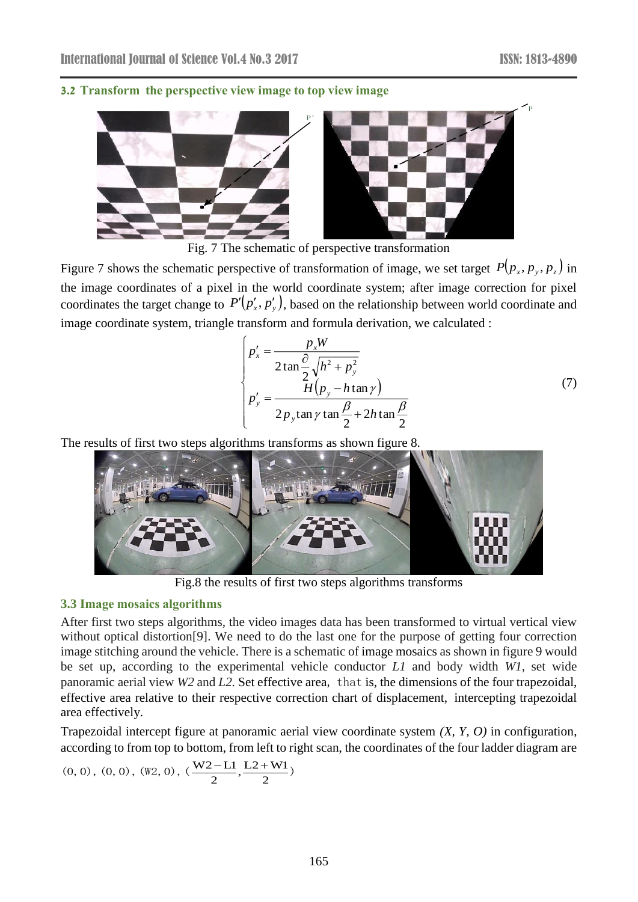### **3.2 Transform the perspective view image to top view image**



Fig. 7 The schematic of perspective transformation

Figure 7 shows the schematic perspective of transformation of image, we set target  $P(p_x, p_y, p_z)$  in the image coordinates of a pixel in the world coordinate system; after image correction for pixel coordinates the target change to  $P'(p'_x, p'_y)$ , based on the relationship between world coordinate and image coordinate system, triangle transform and formula derivation, we calculated :

$$
\begin{cases}\np_x' = \frac{p_x W}{2 \tan \frac{\partial}{2} \sqrt{h^2 + p_y^2}} \\
p_y' = \frac{H(p_y - h \tan \gamma)}{2p_y \tan \gamma \tan \frac{\beta}{2} + 2h \tan \frac{\beta}{2}}\n\end{cases} (7)
$$

The results of first two steps algorithms transforms as shown figure 8.



Fig.8 the results of first two steps algorithms transforms

### **3.3 Image mosaics algorithms**

After first two steps algorithms, the video images data has been transformed to virtual vertical view without optical distortion[9]. We need to do the last one for the purpose of getting four correction image stitching around the vehicle. There is a schematic of image mosaics as shown in figure 9 would be set up, according to the experimental vehicle conductor *L1* and body width *W1,* set wide panoramic aerial view *W2* and *L2.* Set effective area, that is, the dimensions of the four trapezoidal, effective area relative to their respective correction chart of displacement, intercepting trapezoidal area effectively.

Trapezoidal intercept figure at panoramic aerial view coordinate system *(X, Y, O)* in configuration, according to from top to bottom, from left to right scan, the coordinates of the four ladder diagram are (0, 0), (0, 0), (W2, 0), ( $\frac{W2 - L1}{2}$ ,  $\frac{L2 + W1}{2}$ )

$$
(0, 0), (0, 0), (W2, 0), (\frac{W2-L1}{2}, \frac{L2+W1}{2})
$$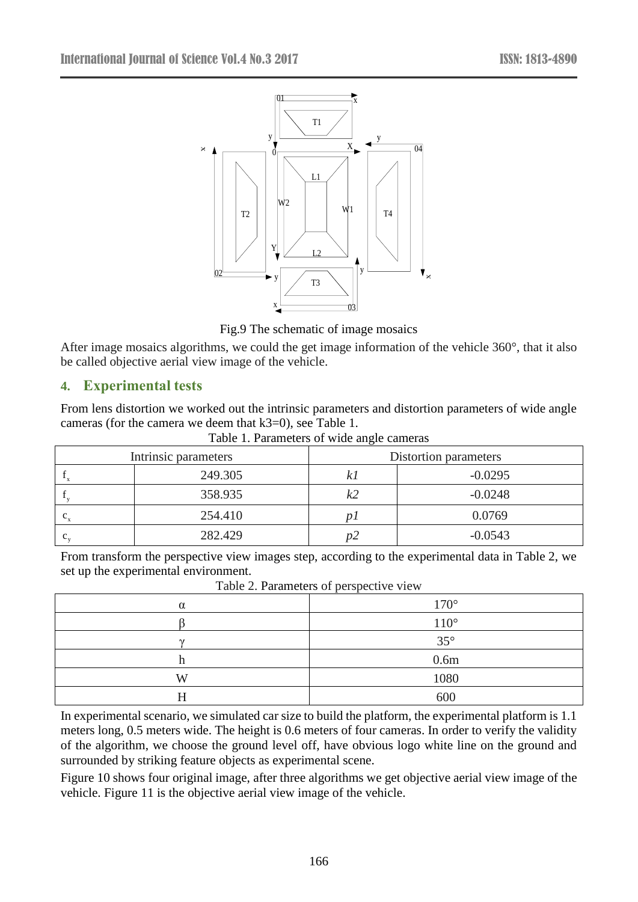

Fig.9 The schematic of image mosaics

After image mosaics algorithms, we could the get image information of the vehicle 360°, that it also be called objective aerial view image of the vehicle.

## **4. Experimental tests**

From lens distortion we worked out the intrinsic parameters and distortion parameters of wide angle cameras (for the camera we deem that k3=0), see Table 1.

|  |  |  | Table 1. Parameters of wide angle cameras |  |
|--|--|--|-------------------------------------------|--|
|--|--|--|-------------------------------------------|--|

| Intrinsic parameters |         | Distortion parameters |           |  |
|----------------------|---------|-----------------------|-----------|--|
|                      | 249.305 |                       | $-0.0295$ |  |
|                      | 358.935 | k2                    | $-0.0248$ |  |
| $\mathbf{c}$ .       | 254.410 |                       | 0.0769    |  |
| c                    | 282.429 | DZ                    | $-0.0543$ |  |

From transform the perspective view images step, according to the experimental data in Table 2, we set up the experimental environment.

| $10010$ $\equiv$ , I didnoted of perspective view |                  |  |  |  |
|---------------------------------------------------|------------------|--|--|--|
| $\alpha$                                          | 170°             |  |  |  |
|                                                   | 110°             |  |  |  |
| $\mathbf{v}$                                      | 35°              |  |  |  |
| 11                                                | 0.6 <sub>m</sub> |  |  |  |
| W                                                 | 1080             |  |  |  |
| 11                                                | 600              |  |  |  |

Table 2. Parameters of perspective view

In experimental scenario, we simulated car size to build the platform, the experimental platform is 1.1 meters long, 0.5 meters wide. The height is 0.6 meters of four cameras. In order to verify the validity of the algorithm, we choose the ground level off, have obvious logo white line on the ground and surrounded by striking feature objects as experimental scene.

Figure 10 shows four original image, after three algorithms we get objective aerial view image of the vehicle. Figure 11 is the objective aerial view image of the vehicle.